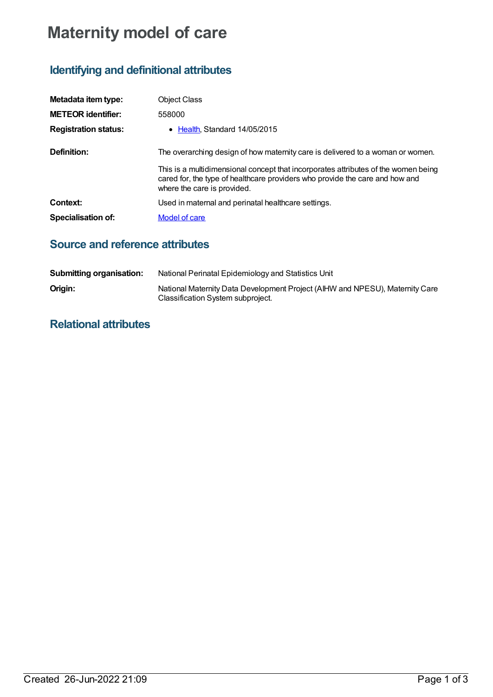## **Maternity model of care**

## **Identifying and definitional attributes**

| Metadata item type:         | <b>Object Class</b>                                                                                                                                                                               |
|-----------------------------|---------------------------------------------------------------------------------------------------------------------------------------------------------------------------------------------------|
| <b>METEOR identifier:</b>   | 558000                                                                                                                                                                                            |
| <b>Registration status:</b> | • Health Standard $14/05/2015$                                                                                                                                                                    |
| Definition:                 | The overarching design of how maternity care is delivered to a woman or women.                                                                                                                    |
|                             | This is a multidimensional concept that incorporates attributes of the women being<br>cared for, the type of healthcare providers who provide the care and how and<br>where the care is provided. |
| Context:                    | Used in maternal and perinatal healthcare settings.                                                                                                                                               |
| Specialisation of:          | Model of care                                                                                                                                                                                     |

## **Source and reference attributes**

| <b>Submitting organisation:</b> | National Perinatal Epidemiology and Statistics Unit                                                               |
|---------------------------------|-------------------------------------------------------------------------------------------------------------------|
| Origin:                         | National Maternity Data Development Project (AIHW and NPESU), Maternity Care<br>Classification System subproject. |

## **Relational attributes**